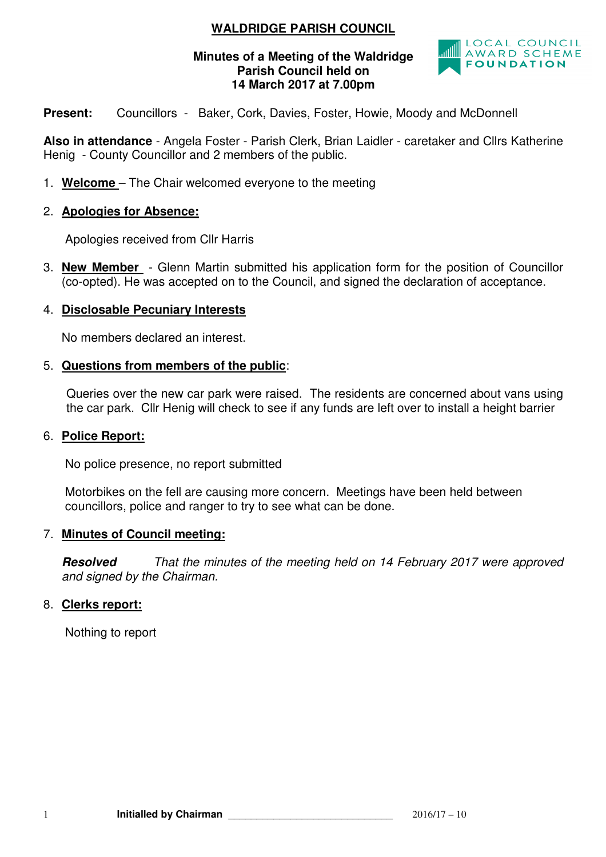# **WALDRIDGE PARISH COUNCIL**

### **Minutes of a Meeting of the Waldridge Parish Council held on 14 March 2017 at 7.00pm**



**Present:** Councillors - Baker, Cork, Davies, Foster, Howie, Moody and McDonnell

**Also in attendance** - Angela Foster - Parish Clerk, Brian Laidler - caretaker and Cllrs Katherine Henig - County Councillor and 2 members of the public.

1. **Welcome** – The Chair welcomed everyone to the meeting

#### 2. **Apologies for Absence:**

Apologies received from Cllr Harris

3. **New Member** - Glenn Martin submitted his application form for the position of Councillor (co-opted). He was accepted on to the Council, and signed the declaration of acceptance.

#### 4. **Disclosable Pecuniary Interests**

No members declared an interest.

#### 5. **Questions from members of the public**:

 Queries over the new car park were raised. The residents are concerned about vans using the car park. Cllr Henig will check to see if any funds are left over to install a height barrier

#### 6. **Police Report:**

No police presence, no report submitted

Motorbikes on the fell are causing more concern. Meetings have been held between councillors, police and ranger to try to see what can be done.

#### 7. **Minutes of Council meeting:**

**Resolved** That the minutes of the meeting held on 14 February 2017 were approved and signed by the Chairman.

### 8. **Clerks report:**

Nothing to report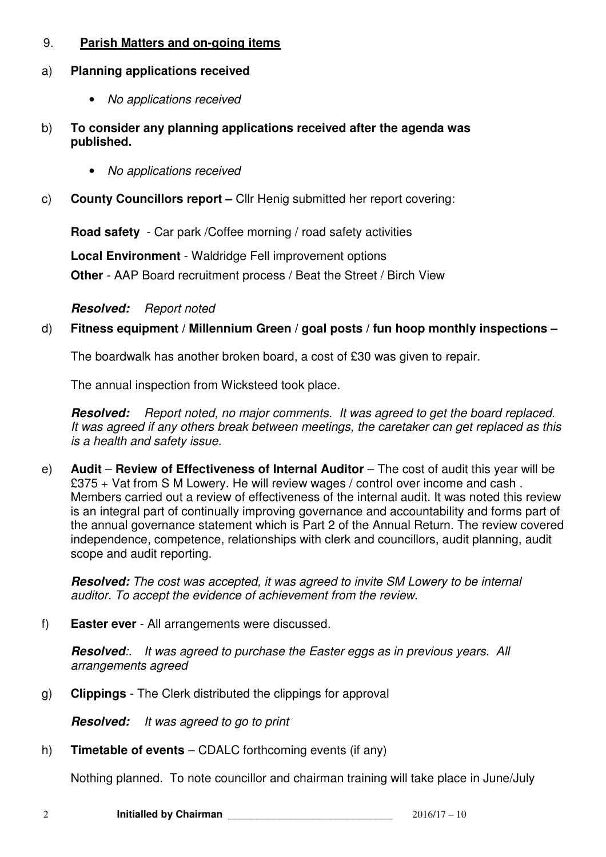# 9. **Parish Matters and on-going items**

## a) **Planning applications received**

- No applications received
- b) **To consider any planning applications received after the agenda was published.** 
	- No applications received
- c) **County Councillors report** Cllr Henig submitted her report covering:

**Road safety** - Car park /Coffee morning / road safety activities

**Local Environment** - Waldridge Fell improvement options

**Other** - AAP Board recruitment process / Beat the Street / Birch View

## **Resolved:** Report noted

# d) **Fitness equipment / Millennium Green / goal posts / fun hoop monthly inspections –**

The boardwalk has another broken board, a cost of £30 was given to repair.

The annual inspection from Wicksteed took place.

**Resolved:** Report noted, no major comments. It was agreed to get the board replaced. It was agreed if any others break between meetings, the caretaker can get replaced as this is a health and safety issue.

e) **Audit – Review of Effectiveness of Internal Auditor – The cost of audit this year will be** £375 + Vat from S M Lowery. He will review wages / control over income and cash . Members carried out a review of effectiveness of the internal audit. It was noted this review is an integral part of continually improving governance and accountability and forms part of the annual governance statement which is Part 2 of the Annual Return. The review covered independence, competence, relationships with clerk and councillors, audit planning, audit scope and audit reporting.

**Resolved:** The cost was accepted, it was agreed to invite SM Lowery to be internal auditor. To accept the evidence of achievement from the review.

f) **Easter ever** - All arrangements were discussed.

**Resolved**:. It was agreed to purchase the Easter eggs as in previous vears. All arrangements agreed

g) **Clippings** - The Clerk distributed the clippings for approval

**Resolved:** It was agreed to go to print

h) **Timetable of events** – CDALC forthcoming events (if any)

Nothing planned. To note councillor and chairman training will take place in June/July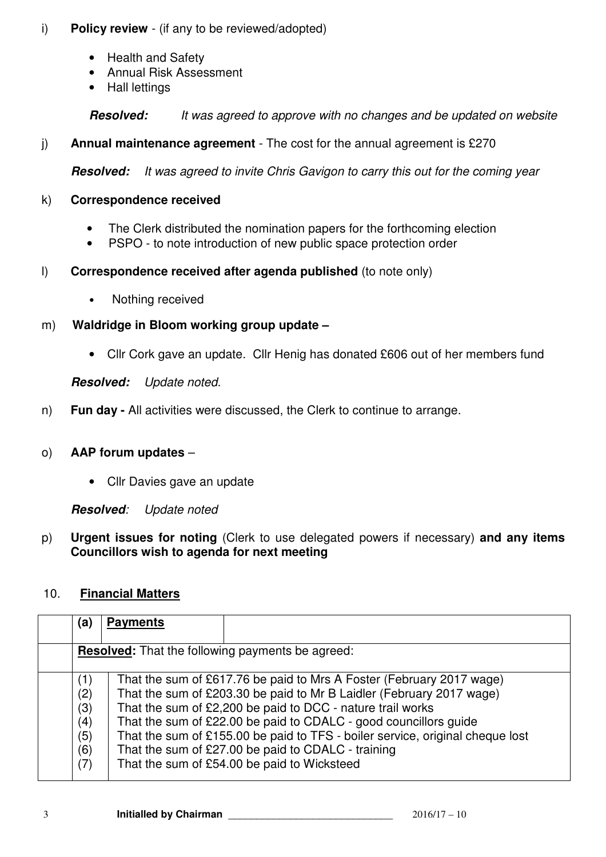# i) **Policy review** - (if any to be reviewed/adopted)

- Health and Safety
- Annual Risk Assessment
- Hall lettings

**Resolved:** It was agreed to approve with no changes and be updated on website

# j) **Annual maintenance agreement** - The cost for the annual agreement is £270

**Resolved:** It was agreed to invite Chris Gavigon to carry this out for the coming year

### k) **Correspondence received**

- The Clerk distributed the nomination papers for the forthcoming election
- PSPO to note introduction of new public space protection order
- l) **Correspondence received after agenda published** (to note only)
	- Nothing received
- m) **Waldridge in Bloom working group update** 
	- Cllr Cork gave an update. Cllr Henig has donated £606 out of her members fund

**Resolved:** Update noted.

n) **Fun day -** All activities were discussed, the Clerk to continue to arrange.

## o) **AAP forum updates** –

• Cllr Davies gave an update

**Resolved**: Update noted

p) **Urgent issues for noting** (Clerk to use delegated powers if necessary) **and any items Councillors wish to agenda for next meeting** 

# 10. **Financial Matters**

| (a)                                           | <b>Payments</b>                                                                                                                                                                                                                                                                                                                                                                                                                                                      |
|-----------------------------------------------|----------------------------------------------------------------------------------------------------------------------------------------------------------------------------------------------------------------------------------------------------------------------------------------------------------------------------------------------------------------------------------------------------------------------------------------------------------------------|
|                                               | <b>Resolved:</b> That the following payments be agreed:                                                                                                                                                                                                                                                                                                                                                                                                              |
| (1)<br>(2)<br>(3)<br>(4)<br>(5)<br>(6)<br>(7) | That the sum of £617.76 be paid to Mrs A Foster (February 2017 wage)<br>That the sum of £203.30 be paid to Mr B Laidler (February 2017 wage)<br>That the sum of £2,200 be paid to DCC - nature trail works<br>That the sum of £22.00 be paid to CDALC - good councillors guide<br>That the sum of £155.00 be paid to TFS - boiler service, original cheque lost<br>That the sum of £27.00 be paid to CDALC - training<br>That the sum of £54.00 be paid to Wicksteed |